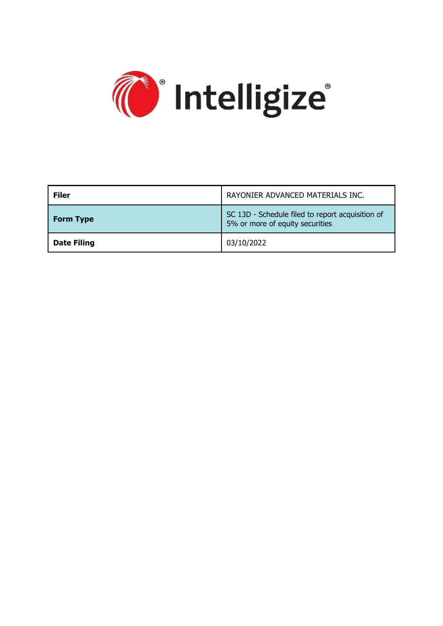

| <b>Filer</b>       | RAYONIER ADVANCED MATERIALS INC.                                                    |
|--------------------|-------------------------------------------------------------------------------------|
| <b>Form Type</b>   | SC 13D - Schedule filed to report acquisition of<br>5% or more of equity securities |
| <b>Date Filing</b> | 03/10/2022                                                                          |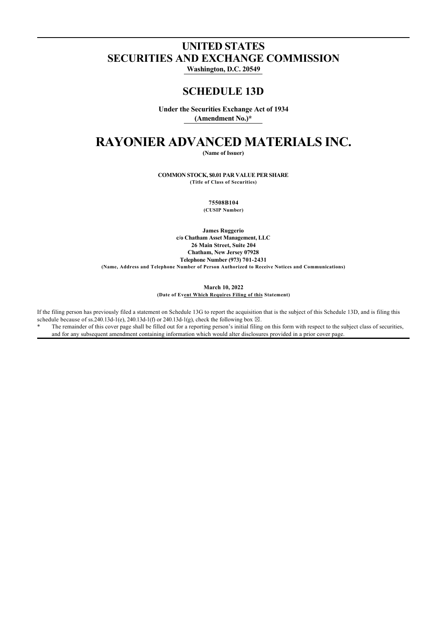### **UNITED STATES SECURITIES AND EXCHANGE COMMISSION**

**Washington, D.C. 20549**

### **SCHEDULE 13D**

**Under the Securities Exchange Act of 1934 (Amendment No.)\***

# **RAYONIER ADVANCED MATERIALS INC.**

**(Name of Issuer)**

**COMMON STOCK, \$0.01 PAR VALUE PER SHARE (Title of Class of Securities)**

**75508B104**

**(CUSIP Number)**

**James Ruggerio c/o Chatham Asset Management, LLC 26 Main Street, Suite 204 Chatham, New Jersey 07928 Telephone Number (973) 701-2431 (Name, Address and Telephone Number of Person Authorized to Receive Notices and Communications)**

> **March 10, 2022 (Date of Event Which Requires Filing of this Statement)**

If the filing person has previously filed a statement on Schedule 13G to report the acquisition that is the subject of this Schedule 13D, and is filing this schedule because of ss.240.13d-1(e), 240.13d-1(f) or 240.13d-1(g), check the following box  $\boxtimes$ .

The remainder of this cover page shall be filled out for a reporting person's initial filing on this form with respect to the subject class of securities, and for any subsequent amendment containing information which would alter disclosures provided in a prior cover page.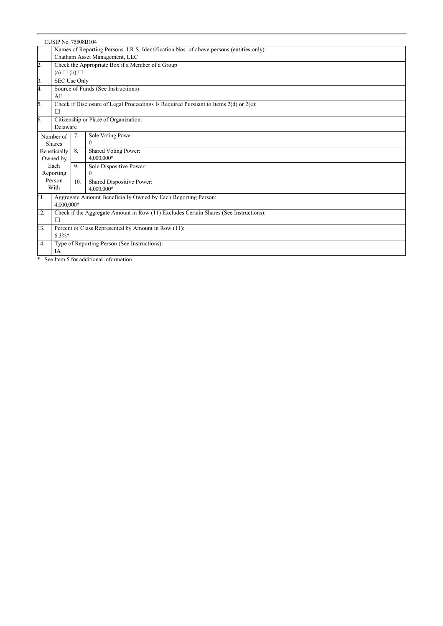| $\overline{1}$ .<br>Names of Reporting Persons. I.R.S. Identification Nos. of above persons (entities only):<br>Chatham Asset Management, LLC<br>2.<br>Check the Appropriate Box if a Member of a Group<br>(a) $\Box$ (b) $\Box$<br>3.<br>SEC Use Only<br>4.<br>Source of Funds (See Instructions):<br>AF<br>5.<br>Check if Disclosure of Legal Proceedings Is Required Pursuant to Items 2(d) or 2(e):<br>П<br>6.<br>Citizenship or Place of Organization:<br>Delaware<br>7.<br>Sole Voting Power:<br>Number of<br>$\mathbf{0}$<br><b>Shares</b><br>8.<br>Shared Voting Power:<br>Beneficially<br>4,000,000*<br>Owned by<br>Each<br>9.<br>Sole Dispositive Power:<br>Reporting<br>$\Omega$<br>Person<br>Shared Dispositive Power:<br>10.<br>With<br>4,000,000* |  |  |  |
|-----------------------------------------------------------------------------------------------------------------------------------------------------------------------------------------------------------------------------------------------------------------------------------------------------------------------------------------------------------------------------------------------------------------------------------------------------------------------------------------------------------------------------------------------------------------------------------------------------------------------------------------------------------------------------------------------------------------------------------------------------------------|--|--|--|
|                                                                                                                                                                                                                                                                                                                                                                                                                                                                                                                                                                                                                                                                                                                                                                 |  |  |  |
|                                                                                                                                                                                                                                                                                                                                                                                                                                                                                                                                                                                                                                                                                                                                                                 |  |  |  |
|                                                                                                                                                                                                                                                                                                                                                                                                                                                                                                                                                                                                                                                                                                                                                                 |  |  |  |
|                                                                                                                                                                                                                                                                                                                                                                                                                                                                                                                                                                                                                                                                                                                                                                 |  |  |  |
|                                                                                                                                                                                                                                                                                                                                                                                                                                                                                                                                                                                                                                                                                                                                                                 |  |  |  |
|                                                                                                                                                                                                                                                                                                                                                                                                                                                                                                                                                                                                                                                                                                                                                                 |  |  |  |
|                                                                                                                                                                                                                                                                                                                                                                                                                                                                                                                                                                                                                                                                                                                                                                 |  |  |  |
|                                                                                                                                                                                                                                                                                                                                                                                                                                                                                                                                                                                                                                                                                                                                                                 |  |  |  |
|                                                                                                                                                                                                                                                                                                                                                                                                                                                                                                                                                                                                                                                                                                                                                                 |  |  |  |
|                                                                                                                                                                                                                                                                                                                                                                                                                                                                                                                                                                                                                                                                                                                                                                 |  |  |  |
|                                                                                                                                                                                                                                                                                                                                                                                                                                                                                                                                                                                                                                                                                                                                                                 |  |  |  |
|                                                                                                                                                                                                                                                                                                                                                                                                                                                                                                                                                                                                                                                                                                                                                                 |  |  |  |
|                                                                                                                                                                                                                                                                                                                                                                                                                                                                                                                                                                                                                                                                                                                                                                 |  |  |  |
|                                                                                                                                                                                                                                                                                                                                                                                                                                                                                                                                                                                                                                                                                                                                                                 |  |  |  |
|                                                                                                                                                                                                                                                                                                                                                                                                                                                                                                                                                                                                                                                                                                                                                                 |  |  |  |
|                                                                                                                                                                                                                                                                                                                                                                                                                                                                                                                                                                                                                                                                                                                                                                 |  |  |  |
| 11.<br>Aggregate Amount Beneficially Owned by Each Reporting Person:<br>4,000,000*                                                                                                                                                                                                                                                                                                                                                                                                                                                                                                                                                                                                                                                                              |  |  |  |
| 12.<br>Check if the Aggregate Amount in Row (11) Excludes Certain Shares (See Instructions):                                                                                                                                                                                                                                                                                                                                                                                                                                                                                                                                                                                                                                                                    |  |  |  |
| П                                                                                                                                                                                                                                                                                                                                                                                                                                                                                                                                                                                                                                                                                                                                                               |  |  |  |
| 13.<br>Percent of Class Represented by Amount in Row (11):                                                                                                                                                                                                                                                                                                                                                                                                                                                                                                                                                                                                                                                                                                      |  |  |  |
| $6.3\%*$                                                                                                                                                                                                                                                                                                                                                                                                                                                                                                                                                                                                                                                                                                                                                        |  |  |  |
| 14.<br>Type of Reporting Person (See Instructions):                                                                                                                                                                                                                                                                                                                                                                                                                                                                                                                                                                                                                                                                                                             |  |  |  |
| IA<br>$\sigma$ $\sigma$ . The state of the state of the state of the state of the state of the state of the state of the state of the state of the state of the state of the state of the state of the state of the state of the state of t<br>$\mathbf{d}$<br>$\sim$                                                                                                                                                                                                                                                                                                                                                                                                                                                                                           |  |  |  |

\* See Item 5 for additional information.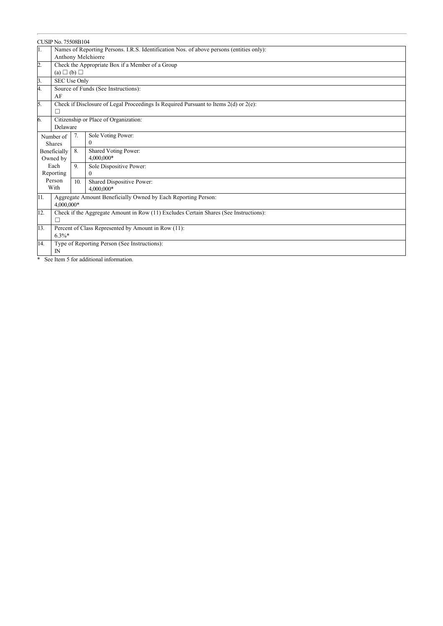|                | <b>CUSIP No. 75508B104</b>                                                                |     |                           |  |  |
|----------------|-------------------------------------------------------------------------------------------|-----|---------------------------|--|--|
| 1.             | Names of Reporting Persons. I.R.S. Identification Nos. of above persons (entities only):  |     |                           |  |  |
|                |                                                                                           |     | Anthony Melchiorre        |  |  |
| 2.             | Check the Appropriate Box if a Member of a Group                                          |     |                           |  |  |
|                | (a) $\Box$ (b) $\Box$                                                                     |     |                           |  |  |
| 3.             | SEC Use Only                                                                              |     |                           |  |  |
| 4.             | Source of Funds (See Instructions):                                                       |     |                           |  |  |
|                | AF                                                                                        |     |                           |  |  |
| 5.             | Check if Disclosure of Legal Proceedings Is Required Pursuant to Items 2(d) or 2(e):<br>П |     |                           |  |  |
| 6.             | Citizenship or Place of Organization:                                                     |     |                           |  |  |
| Delaware       |                                                                                           |     |                           |  |  |
|                | Number of                                                                                 | 7.  | Sole Voting Power:        |  |  |
|                | <b>Shares</b>                                                                             |     | $\Omega$                  |  |  |
|                | Beneficially                                                                              | 8.  | Shared Voting Power:      |  |  |
|                | Owned by                                                                                  |     | 4,000,000*                |  |  |
|                | Each                                                                                      | 9.  | Sole Dispositive Power:   |  |  |
|                | Reporting                                                                                 |     | $\theta$                  |  |  |
| Person<br>With |                                                                                           | 10. | Shared Dispositive Power: |  |  |
|                | 4,000,000*                                                                                |     |                           |  |  |
| 11.            | Aggregate Amount Beneficially Owned by Each Reporting Person:<br>4,000,000*               |     |                           |  |  |
| 12.            | Check if the Aggregate Amount in Row (11) Excludes Certain Shares (See Instructions):     |     |                           |  |  |
|                | П                                                                                         |     |                           |  |  |
| 13.            | Percent of Class Represented by Amount in Row (11):                                       |     |                           |  |  |
| $6.3\%*$       |                                                                                           |     |                           |  |  |
| 14.            | Type of Reporting Person (See Instructions):                                              |     |                           |  |  |
|                | $\mathbb{N}$<br>$\cdots$<br>$-1$ and $-1$                                                 |     |                           |  |  |

\* See Item 5 for additional information.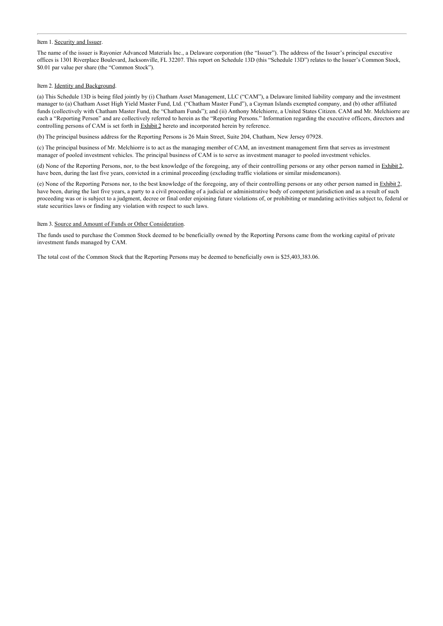#### Item 1. Security and Issuer.

The name of the issuer is Rayonier Advanced Materials Inc., a Delaware corporation (the "Issuer"). The address of the Issuer's principal executive offices is 1301 Riverplace Boulevard, Jacksonville, FL 32207. This report on Schedule 13D (this "Schedule 13D") relates to the Issuer's Common Stock, \$0.01 par value per share (the "Common Stock").

#### Item 2. Identity and Background.

(a) This Schedule 13D is being filed jointly by (i) Chatham Asset Management, LLC ("CAM"), a Delaware limited liability company and the investment manager to (a) Chatham Asset High Yield Master Fund, Ltd. ("Chatham Master Fund"), a Cayman Islands exempted company, and (b) other affiliated funds (collectively with Chatham Master Fund, the "Chatham Funds"); and (ii) Anthony Melchiorre, a United States Citizen. CAM and Mr. Melchiorre are each a "Reporting Person" and are collectively referred to herein as the "Reporting Persons." Information regarding the executive officers, directors and controlling persons of CAM is set forth in **Exhibit 2** hereto and incorporated herein by reference.

(b) The principal business address for the Reporting Persons is 26 Main Street, Suite 204, Chatham, New Jersey 07928.

(c) The principal business of Mr. Melchiorre is to act as the managing member of CAM, an investment management firm that serves as investment manager of pooled investment vehicles. The principal business of CAM is to serve as investment manager to pooled investment vehicles.

(d) None of the Reporting Persons, nor, to the best knowledge of the foregoing, any of their controlling persons or any other person named in Exhibit 2, have been, during the last five years, convicted in a criminal proceeding (excluding traffic violations or similar misdemeanors).

(e) None of the Reporting Persons nor, to the best knowledge of the foregoing, any of their controlling persons or any other person named in Exhibit 2, have been, during the last five years, a party to a civil proceeding of a judicial or administrative body of competent jurisdiction and as a result of such proceeding was or is subject to a judgment, decree or final order enjoining future violations of, or prohibiting or mandating activities subject to, federal or state securities laws or finding any violation with respect to such laws.

#### Item 3. Source and Amount of Funds or Other Consideration.

The funds used to purchase the Common Stock deemed to be beneficially owned by the Reporting Persons came from the working capital of private investment funds managed by CAM.

The total cost of the Common Stock that the Reporting Persons may be deemed to beneficially own is \$25,403,383.06.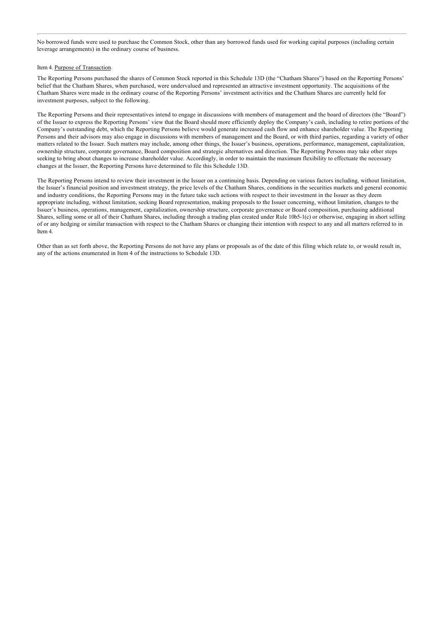No borrowed funds were used to purchase the Common Stock, other than any borrowed funds used for working capital purposes (including certain leverage arrangements) in the ordinary course of business.

#### Item 4. Purpose of Transaction.

The Reporting Persons purchased the shares of Common Stock reported in this Schedule 13D (the "Chatham Shares") based on the Reporting Persons' belief that the Chatham Shares, when purchased, were undervalued and represented an attractive investment opportunity. The acquisitions of the Chatham Shares were made in the ordinary course of the Reporting Persons' investment activities and the Chatham Shares are currently held for investment purposes, subject to the following.

The Reporting Persons and their representatives intend to engage in discussions with members of management and the board of directors (the "Board") of the Issuer to express the Reporting Persons' view that the Board should more efficiently deploy the Company's cash, including to retire portions of the Company's outstanding debt, which the Reporting Persons believe would generate increased cash flow and enhance shareholder value. The Reporting Persons and their advisors may also engage in discussions with members of management and the Board, or with third parties, regarding a variety of other matters related to the Issuer. Such matters may include, among other things, the Issuer's business, operations, performance, management, capitalization, ownership structure, corporate governance, Board composition and strategic alternatives and direction. The Reporting Persons may take other steps seeking to bring about changes to increase shareholder value. Accordingly, in order to maintain the maximum flexibility to effectuate the necessary changes at the Issuer, the Reporting Persons have determined to file this Schedule 13D.

The Reporting Persons intend to review their investment in the Issuer on a continuing basis. Depending on various factors including, without limitation, the Issuer's financial position and investment strategy, the price levels of the Chatham Shares, conditions in the securities markets and general economic and industry conditions, the Reporting Persons may in the future take such actions with respect to their investment in the Issuer as they deem appropriate including, without limitation, seeking Board representation, making proposals to the Issuer concerning, without limitation, changes to the Issuer's business, operations, management, capitalization, ownership structure, corporate governance or Board composition, purchasing additional Shares, selling some or all of their Chatham Shares, including through a trading plan created under Rule 10b5-1(c) or otherwise, engaging in short selling of or any hedging or similar transaction with respect to the Chatham Shares or changing their intention with respect to any and all matters referred to in Item 4.

Other than as set forth above, the Reporting Persons do not have any plans or proposals as of the date of this filing which relate to, or would result in, any of the actions enumerated in Item 4 of the instructions to Schedule 13D.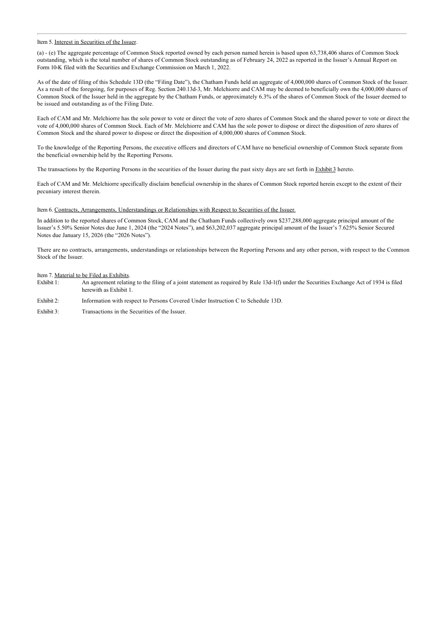#### Item 5. Interest in Securities of the Issuer.

(a) - (e) The aggregate percentage of Common Stock reported owned by each person named herein is based upon 63,738,406 shares of Common Stock outstanding, which is the total number of shares of Common Stock outstanding as of February 24, 2022 as reported in the Issuer's Annual Report on Form 10-K filed with the Securities and Exchange Commission on March 1, 2022.

As of the date of filing of this Schedule 13D (the "Filing Date"), the Chatham Funds held an aggregate of 4,000,000 shares of Common Stock of the Issuer. As a result of the foregoing, for purposes of Reg. Section 240.13d-3, Mr. Melchiorre and CAM may be deemed to beneficially own the 4,000,000 shares of Common Stock of the Issuer held in the aggregate by the Chatham Funds, or approximately 6.3% of the shares of Common Stock of the Issuer deemed to be issued and outstanding as of the Filing Date.

Each of CAM and Mr. Melchiorre has the sole power to vote or direct the vote of zero shares of Common Stock and the shared power to vote or direct the vote of 4,000,000 shares of Common Stock. Each of Mr. Melchiorre and CAM has the sole power to dispose or direct the disposition of zero shares of Common Stock and the shared power to dispose or direct the disposition of 4,000,000 shares of Common Stock.

To the knowledge of the Reporting Persons, the executive officers and directors of CAM have no beneficial ownership of Common Stock separate from the beneficial ownership held by the Reporting Persons.

The transactions by the Reporting Persons in the securities of the Issuer during the past sixty days are set forth in Exhibit 3 hereto.

Each of CAM and Mr. Melchiorre specifically disclaim beneficial ownership in the shares of Common Stock reported herein except to the extent of their pecuniary interest therein.

Item 6. Contracts, Arrangements, Understandings or Relationships with Respect to Securities of the Issuer.

In addition to the reported shares of Common Stock, CAM and the Chatham Funds collectively own \$237,288,000 aggregate principal amount of the Issuer's 5.50% Senior Notes due June 1, 2024 (the "2024 Notes"), and \$63,202,037 aggregate principal amount of the Issuer's 7.625% Senior Secured Notes due January 15, 2026 (the "2026 Notes").

There are no contracts, arrangements, understandings or relationships between the Reporting Persons and any other person, with respect to the Common Stock of the Issuer.

## Item 7. <u>Material to be Filed as Exhibits</u>.<br>Exhibit 1: An agreement relation

An agreement relating to the filing of a joint statement as required by Rule 13d-1(f) under the Securities Exchange Act of 1934 is filed herewith as Exhibit 1.

- Exhibit 2: Information with respect to Persons Covered Under Instruction C to Schedule 13D.
- Exhibit 3: Transactions in the Securities of the Issuer.